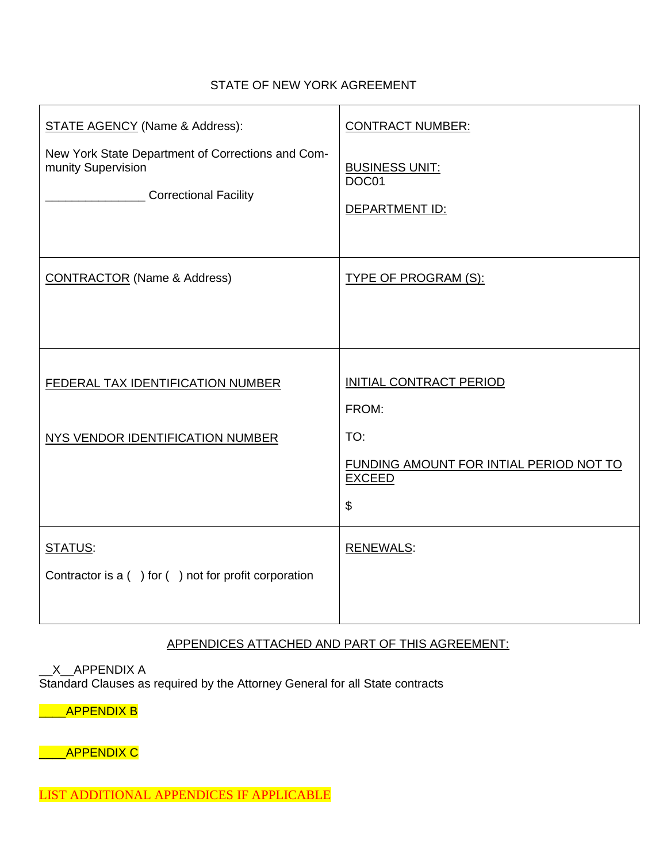## STATE OF NEW YORK AGREEMENT

| <b>STATE AGENCY (Name &amp; Address):</b><br>New York State Department of Corrections and Com-<br>munity Supervision<br><b>Correctional Facility</b> | <b>CONTRACT NUMBER:</b><br><b>BUSINESS UNIT:</b><br>DOC01<br>DEPARTMENT ID:        |
|------------------------------------------------------------------------------------------------------------------------------------------------------|------------------------------------------------------------------------------------|
| <b>CONTRACTOR</b> (Name & Address)                                                                                                                   | <b>TYPE OF PROGRAM (S):</b>                                                        |
| FEDERAL TAX IDENTIFICATION NUMBER<br>NYS VENDOR IDENTIFICATION NUMBER                                                                                | INITIAL CONTRACT PERIOD<br>FROM:<br>TO:<br>FUNDING AMOUNT FOR INTIAL PERIOD NOT TO |
|                                                                                                                                                      | <b>EXCEED</b><br>\$                                                                |
| STATUS:<br>Contractor is $a( )$ for $( )$ not for profit corporation                                                                                 | <b>RENEWALS:</b>                                                                   |

## APPENDICES ATTACHED AND PART OF THIS AGREEMENT:

\_X\_\_APPENDIX A Standard Clauses as required by the Attorney General for all State contracts

\_\_\_\_APPENDIX B

\_\_\_\_APPENDIX C

LIST ADDITIONAL APPENDICES IF APPLICABLE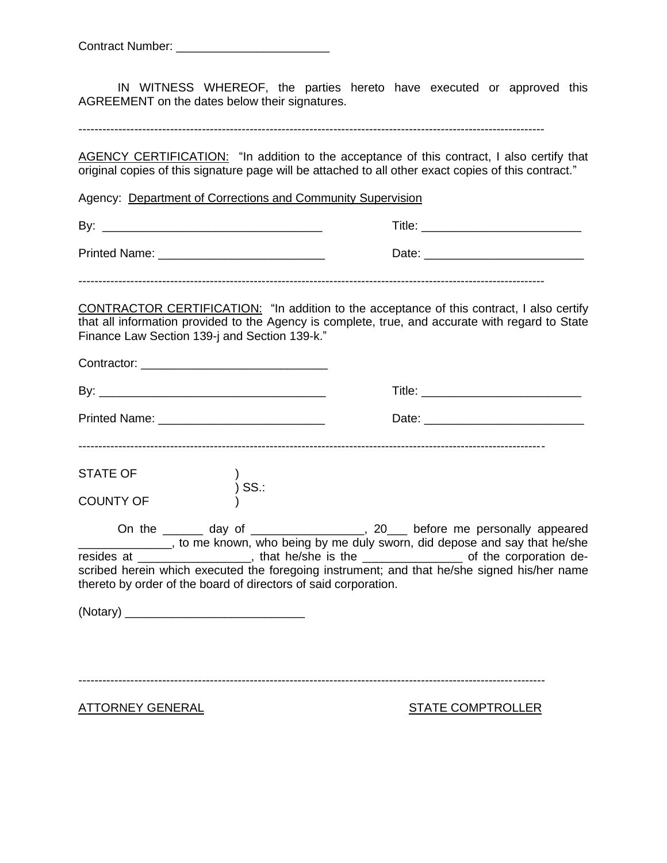| <b>Contract Number:</b> |  |
|-------------------------|--|
|                         |  |

IN WITNESS WHEREOF, the parties hereto have executed or approved this AGREEMENT on the dates below their signatures.

---------------------------------------------------------------------------------------------------------------------

AGENCY CERTIFICATION: "In addition to the acceptance of this contract, I also certify that original copies of this signature page will be attached to all other exact copies of this contract."

Agency: Department of Corrections and Community Supervision

| By:           | Title: |
|---------------|--------|
| Printed Name: | Date:  |

---------------------------------------------------------------------------------------------------------------------

CONTRACTOR CERTIFICATION: "In addition to the acceptance of this contract, I also certify that all information provided to the Agency is complete, true, and accurate with regard to State Finance Law Section 139-j and Section 139-k."

|  | thereto by order of the board of directors of said corporation. | On the ______ day of _________________, 20___ before me personally appeared<br>_______________, to me known, who being by me duly sworn, did depose and say that he/she<br>resides at ___________________, that he/she is the _________________ of the corporation de-<br>scribed herein which executed the foregoing instrument; and that he/she signed his/her name |  |
|--|-----------------------------------------------------------------|-----------------------------------------------------------------------------------------------------------------------------------------------------------------------------------------------------------------------------------------------------------------------------------------------------------------------------------------------------------------------|--|
|  |                                                                 |                                                                                                                                                                                                                                                                                                                                                                       |  |

---------------------------------------------------------------------------------------------------------------------

ATTORNEY GENERAL STATE COMPTROLLER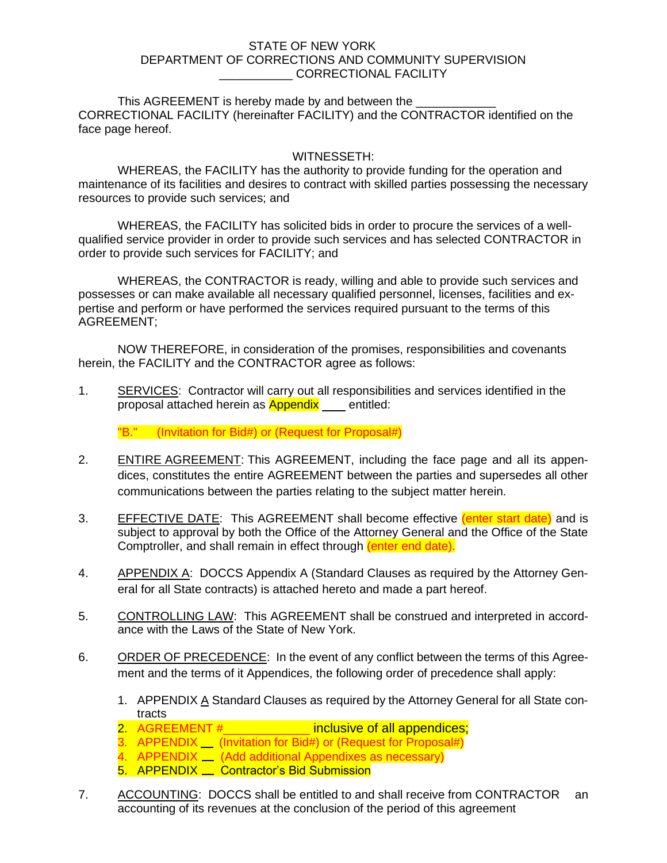## STATE OF NEW YORK DEPARTMENT OF CORRECTIONS AND COMMUNITY SUPERVISION \_\_\_\_\_\_\_\_\_\_\_ CORRECTIONAL FACILITY

This AGREEMENT is hereby made by and between the CORRECTIONAL FACILITY (hereinafter FACILITY) and the CONTRACTOR identified on the face page hereof.

## WITNESSETH:

WHEREAS, the FACILITY has the authority to provide funding for the operation and maintenance of its facilities and desires to contract with skilled parties possessing the necessary resources to provide such services; and

WHEREAS, the FACILITY has solicited bids in order to procure the services of a wellqualified service provider in order to provide such services and has selected CONTRACTOR in order to provide such services for FACILITY; and

WHEREAS, the CONTRACTOR is ready, willing and able to provide such services and possesses or can make available all necessary qualified personnel, licenses, facilities and expertise and perform or have performed the services required pursuant to the terms of this AGREEMENT;

NOW THEREFORE, in consideration of the promises, responsibilities and covenants herein, the FACILITY and the CONTRACTOR agree as follows:

1. SERVICES: Contractor will carry out all responsibilities and services identified in the proposal attached herein as **Appendix** entitled:

"B." (Invitation for Bid#) or (Request for Proposal#)

- 2. ENTIRE AGREEMENT: This AGREEMENT, including the face page and all its appendices, constitutes the entire AGREEMENT between the parties and supersedes all other communications between the parties relating to the subject matter herein.
- 3. EFFECTIVE DATE: This AGREEMENT shall become effective (enter start date) and is subject to approval by both the Office of the Attorney General and the Office of the State Comptroller, and shall remain in effect through (enter end date).
- 4. APPENDIX A: DOCCS Appendix A (Standard Clauses as required by the Attorney General for all State contracts) is attached hereto and made a part hereof.
- 5. CONTROLLING LAW: This AGREEMENT shall be construed and interpreted in accordance with the Laws of the State of New York.
- 6. ORDER OF PRECEDENCE: In the event of any conflict between the terms of this Agreement and the terms of it Appendices, the following order of precedence shall apply:
	- 1. APPENDIX A Standard Clauses as required by the Attorney General for all State contracts
	- 2. AGREEMENT # \_\_\_\_\_\_\_\_\_\_\_\_\_ inclusive of all appendices;
	- 3. APPENDIX | (Invitation for Bid#) or (Request for Proposal#)
	- 4. APPENDIX <u>(Add additional Appendixes as necessary</u>)
	- 5. APPENDIX <u>Contractor's Bid Submission</u>
- 7. ACCOUNTING: DOCCS shall be entitled to and shall receive from CONTRACTOR an accounting of its revenues at the conclusion of the period of this agreement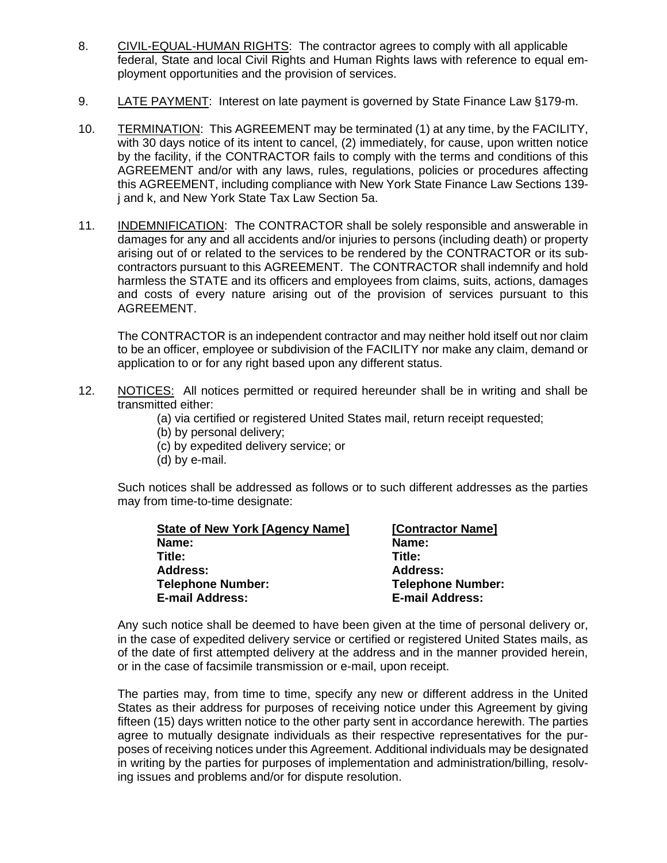- 8. CIVIL-EQUAL-HUMAN RIGHTS: The contractor agrees to comply with all applicable federal, State and local Civil Rights and Human Rights laws with reference to equal employment opportunities and the provision of services.
- 9. LATE PAYMENT: Interest on late payment is governed by State Finance Law §179-m.
- 10. TERMINATION: This AGREEMENT may be terminated (1) at any time, by the FACILITY, with 30 days notice of its intent to cancel, (2) immediately, for cause, upon written notice by the facility, if the CONTRACTOR fails to comply with the terms and conditions of this AGREEMENT and/or with any laws, rules, regulations, policies or procedures affecting this AGREEMENT, including compliance with New York State Finance Law Sections 139 j and k, and New York State Tax Law Section 5a.
- 11. INDEMNIFICATION: The CONTRACTOR shall be solely responsible and answerable in damages for any and all accidents and/or injuries to persons (including death) or property arising out of or related to the services to be rendered by the CONTRACTOR or its subcontractors pursuant to this AGREEMENT. The CONTRACTOR shall indemnify and hold harmless the STATE and its officers and employees from claims, suits, actions, damages and costs of every nature arising out of the provision of services pursuant to this AGREEMENT.

The CONTRACTOR is an independent contractor and may neither hold itself out nor claim to be an officer, employee or subdivision of the FACILITY nor make any claim, demand or application to or for any right based upon any different status.

- 12. NOTICES: All notices permitted or required hereunder shall be in writing and shall be transmitted either:
	- (a) via certified or registered United States mail, return receipt requested;
	- (b) by personal delivery;
	- (c) by expedited delivery service; or
	- (d) by e-mail.

Such notices shall be addressed as follows or to such different addresses as the parties may from time-to-time designate:

| <b>State of New York [Agency Name]</b> | [Contractor Name]        |
|----------------------------------------|--------------------------|
| Name:                                  | Name:                    |
| Title:                                 | Title:                   |
| <b>Address:</b>                        | <b>Address:</b>          |
| <b>Telephone Number:</b>               | <b>Telephone Number:</b> |
| <b>E-mail Address:</b>                 | <b>E-mail Address:</b>   |

Any such notice shall be deemed to have been given at the time of personal delivery or, in the case of expedited delivery service or certified or registered United States mails, as of the date of first attempted delivery at the address and in the manner provided herein, or in the case of facsimile transmission or e-mail, upon receipt.

The parties may, from time to time, specify any new or different address in the United States as their address for purposes of receiving notice under this Agreement by giving fifteen (15) days written notice to the other party sent in accordance herewith. The parties agree to mutually designate individuals as their respective representatives for the purposes of receiving notices under this Agreement. Additional individuals may be designated in writing by the parties for purposes of implementation and administration/billing, resolving issues and problems and/or for dispute resolution.